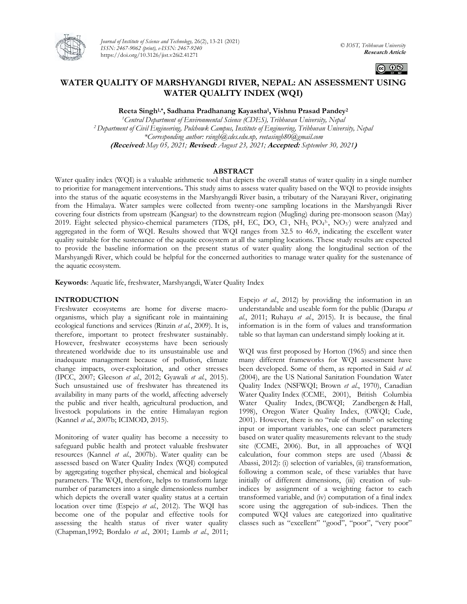

*Journal of Institute of Science and Technology,* 26(2), 13-21 (2021) *ISSN: 2467-9062 (print), e-ISSN: 2467-9240* https://doi.org/10.3126/jist.v26i2.41271



# **WATER QUALITY OF MARSHYANGDI RIVER, NEPAL: AN ASSESSMENT USING WATER QUALITY INDEX (WQI)**

**Reeta Singh1,\* , Sadhana Pradhanang Kayastha<sup>1</sup> , Vishnu Prasad Pandey<sup>2</sup>**

*<sup>1</sup>Central Department of Environmental Science (CDES), Tribhuvan University, Nepal <sup>2</sup>Department of Civil Engineering, Pulchowk Campus, Institute of Engineering, Tribhuvan University, Nepal \*Corresponding author: rsingh@cdes.edu.np, reetasingh80@gmail.com* **(Received:** *May 05, 2021;* **Revised:** *August 23, 2021;* **Accepted:** *September 30, 2021***)**

## **ABSTRACT**

Water quality index (WQI) is a valuable arithmetic tool that depicts the overall status of water quality in a single number to prioritize for management interventions**.** This study aims to assess water quality based on the WQI to provide insights into the status of the aquatic ecosystems in the Marshyangdi River basin, a tributary of the Narayani River, originating from the Himalaya. Water samples were collected from twenty-one sampling locations in the Marshyangdi River covering four districts from upstream (Kangsar) to the downstream region (Mugling) during pre-monsoon season (May) 2019. Eight selected physico-chemical parameters (TDS, pH, EC, DO, Cl-, NH<sub>3</sub>, PO<sub>4</sub><sup>3</sup>-, NO<sub>3</sub>) were analyzed and aggregated in the form of WQI. Results showed that WQI ranges from 32.5 to 46.9, indicating the excellent water quality suitable for the sustenance of the aquatic ecosystem at all the sampling locations. These study results are expected to provide the baseline information on the present status of water quality along the longitudinal section of the Marshyangdi River, which could be helpful for the concerned authorities to manage water quality for the sustenance of the aquatic ecosystem.

**Keywords**: Aquatic life, freshwater, Marshyangdi, Water Quality Index

#### **INTRODUCTION**

Freshwater ecosystems are home for diverse macroorganisms, which play a significant role in maintaining ecological functions and services (Rinzin *et al.*, 2009). It is, therefore, important to protect freshwater sustainably. However, freshwater ecosystems have been seriously threatened worldwide due to its unsustainable use and inadequate management because of pollution, climate change impacts, over-exploitation, and other stresses (IPCC, 2007; Gleeson *et al.*, 2012; Gyawali *et al.*, 2015). Such unsustained use of freshwater has threatened its availability in many parts of the world, affecting adversely the public and river health, agricultural production, and livestock populations in the entire Himalayan region (Kannel *et al.*, 2007b; ICIMOD, 2015).

Monitoring of water quality has become a necessity to safeguard public health and protect valuable freshwater resources (Kannel *et al.*, 2007b). Water quality can be assessed based on Water Quality Index (WQI) computed by aggregating together physical, chemical and biological parameters. The WQI, therefore, helps to transform large number of parameters into a single dimensionless number which depicts the overall water quality status at a certain location over time (Espejo *et al.*, 2012). The WQI has become one of the popular and effective tools for assessing the health status of river water quality (Chapman,1992; Bordalo *et al.*, 2001; Lumb *et al.*, 2011;

Espejo *et al.*, 2012) by providing the information in an understandable and useable form for the public (Darapu *et al.*, 2011; Ruhayu *et al.*, 2015). It is because, the final information is in the form of values and transformation table so that layman can understand simply looking at it.

WQI was first proposed by Horton (1965) and since then many different frameworks for WQI assessment have been developed. Some of them, as reported in Said *et al.* (2004), are the US National Sanitation Foundation Water Quality Index (NSFWQI; Brown *et al.*, 1970), Canadian Water Quality Index (CCME, 2001), British Columbia Water Quality Index, (BCWQI; Zandbergen & Hall, 1998), Oregon Water Quality Index, (OWQI; Cude, 2001). However, there is no "rule of thumb" on selecting input or important variables, one can select parameters based on water quality measurements relevant to the study site (CCME, 2006). But, in all approaches of WQI calculation, four common steps are used (Abassi & Abassi, 2012): (i) selection of variables, (ii) transformation, following a common scale, of these variables that have initially of different dimensions, (iii) creation of subindices by assignment of a weighting factor to each transformed variable, and (iv) computation of a final index score using the aggregation of sub-indices. Then the computed WQI values are categorized into qualitative classes such as "excellent" "good", "poor", "very poor"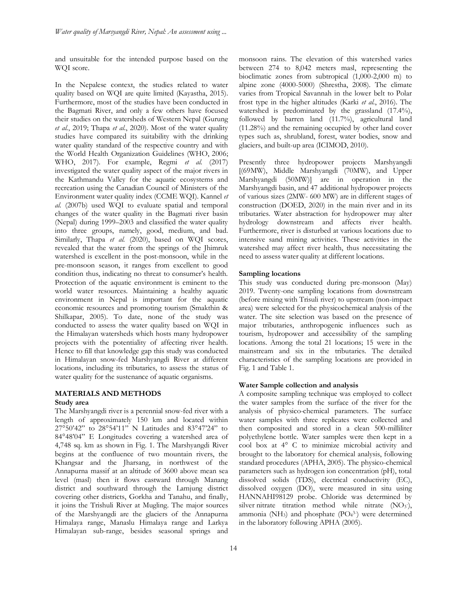and unsuitable for the intended purpose based on the WQI score.

In the Nepalese context, the studies related to water quality based on WQI are quite limited (Kayastha, 2015). Furthermore, most of the studies have been conducted in the Bagmati River, and only a few others have focused their studies on the watersheds of Western Nepal (Gurung *et al.*, 2019; Thapa *et al.*, 2020). Most of the water quality studies have compared its suitability with the drinking water quality standard of the respective country and with the World Health Organization Guidelines (WHO, 2006; WHO, 2017). For example, Regmi *et al.* (2017) investigated the water quality aspect of the major rivers in the Kathmandu Valley for the aquatic ecosystems and recreation using the Canadian Council of Ministers of the Environment water quality index (CCME WQI). Kannel *et al.* (2007b) used WQI to evaluate spatial and temporal changes of the water quality in the Bagmati river basin (Nepal) during 1999–2003 and classified the water quality into three groups, namely, good, medium, and bad. Similarly, Thapa *et al.* (2020), based on WQI scores, revealed that the water from the springs of the Jhimruk watershed is excellent in the post-monsoon, while in the pre-monsoon season, it ranges from excellent to good condition thus, indicating no threat to consumer's health. Protection of the aquatic environment is eminent to the world water resources. Maintaining a healthy aquatic environment in Nepal is important for the aquatic economic resources and promoting tourism (Smakthin & Shilkapar, 2005). To date, none of the study was conducted to assess the water quality based on WQI in the Himalayan watersheds which hosts many hydropower projects with the potentiality of affecting river health. Hence to fill that knowledge gap this study was conducted in Himalayan snow-fed Marshyangdi River at different locations, including its tributaries, to assess the status of water quality for the sustenance of aquatic organisms.

# **MATERIALS AND METHODS**

# **Study area**

The Marshyangdi river is a perennial snow-fed river with a length of approximately 150 km and located within 27°50'42" to 28°54'11" N Latitudes and 83°47'24" to 84°48'04" E Longitudes covering a watershed area of 4,748 sq. km as shown in Fig. 1. The Marshyangdi River begins at the confluence of two mountain rivers, the Khangsar and the Jharsang, in northwest of the Annapurna massif at an altitude of 3600 above mean sea level (masl) then it flows eastward through Manang district and southward through the Lamjung district covering other districts, Gorkha and Tanahu, and finally, it joins the Trishuli River at Mugling. The major sources of the Marshyangdi are the glaciers of the Annapurna Himalaya range, Manaslu Himalaya range and Larkya Himalayan sub-range, besides seasonal springs and

monsoon rains. The elevation of this watershed varies between 274 to 8,042 meters masl, representing the bioclimatic zones from subtropical (1,000-2,000 m) to alpine zone (4000-5000) (Shrestha, 2008). The climate varies from Tropical Savannah in the lower belt to Polar frost type in the higher altitudes (Karki *et al.*, 2016). The watershed is predominated by the grassland (17.4%), followed by barren land (11.7%), agricultural land (11.28%) and the remaining occupied by other land cover types such as, shrubland, forest, water bodies, snow and glaciers, and built-up area (ICIMOD, 2010).

Presently three hydropower projects Marshyangdi [(69MW), Middle Marshyangdi (70MW), and Upper Marshyangdi (50MW)] are in operation in the Marshyangdi basin, and 47 additional hydropower projects of various sizes (2MW- 600 MW) are in different stages of construction (DOED, 2020) in the main river and in its tributaries. Water abstraction for hydropower may alter hydrology downstream and affects river health. Furthermore, river is disturbed at various locations due to intensive sand mining activities. These activities in the watershed may affect river health, thus necessitating the need to assess water quality at different locations.

#### **Sampling locations**

This study was conducted during pre-monsoon (May) 2019. Twenty-one sampling locations from downstream (before mixing with Trisuli river) to upstream (non-impact area) were selected for the physicochemical analysis of the water. The site selection was based on the presence of major tributaries, anthropogenic influences such as tourism, hydropower and accessibility of the sampling locations. Among the total 21 locations; 15 were in the mainstream and six in the tributaries. The detailed characteristics of the sampling locations are provided in Fig. 1 and Table 1.

### **Water Sample collection and analysis**

A composite sampling technique was employed to collect the water samples from the surface of the river for the analysis of physico-chemical parameters. The surface water samples with three replicates were collected and then composited and stored in a clean 500-milliliter polyethylene bottle. Water samples were then kept in a cool box at 4° C to minimize microbial activity and brought to the laboratory for chemical analysis, following standard procedures (APHA, 2005). The physico-chemical parameters such as hydrogen ion concentration (pH), total dissolved solids (TDS), electrical conductivity (EC), dissolved oxygen (DO), were measured in situ using HANNAHI98129 probe. Chloride was determined by silver nitrate titration method while nitrate  $(NO<sub>3</sub>)$ , ammonia ( $NH<sub>3</sub>$ ) and phosphate  $(PO<sub>4</sub><sup>3</sup>)$  were determined in the laboratory following APHA (2005).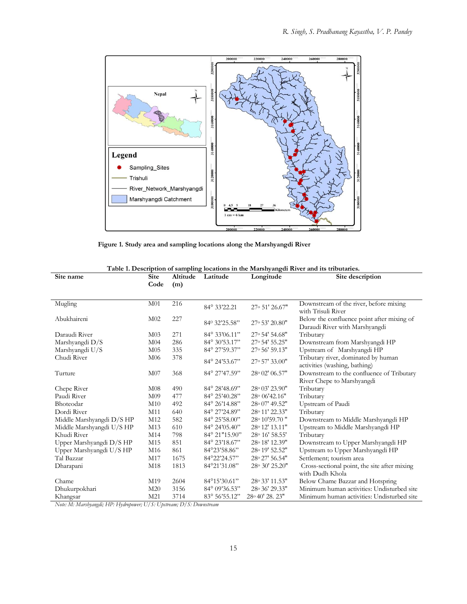

 **Figure 1. Study area and sampling locations along the Marshyangdi River** 

| Site name                 | <b>Site</b><br>Altitude<br>Latitude<br>Longitude |      | Site description       |                           |                                                                              |
|---------------------------|--------------------------------------------------|------|------------------------|---------------------------|------------------------------------------------------------------------------|
|                           | Code                                             | (m)  |                        |                           |                                                                              |
| Mugling                   | M <sub>01</sub>                                  | 216  |                        |                           | Downstream of the river, before mixing                                       |
|                           |                                                  |      | 84° 33'22.21           | 27° 51' 26.67"            | with Trisuli River                                                           |
| Abukhaireni               | M <sub>02</sub>                                  | 227  | 840 32'25.58"          | 27° 53' 20.80"            | Below the confluence point after mixing of<br>Daraudi River with Marshyangdi |
| Daraudi River             | M <sub>03</sub>                                  | 271  | 84° 33'06.11"          | 27° 54' 54.68"            | Tributary                                                                    |
| Marshyangdi D/S           | M <sub>04</sub>                                  | 286  | 84° 30'53.17"          | 27° 54' 55.25"            | Downstream from Marshyangdi HP                                               |
| Marshyangdi U/S           | M <sub>05</sub>                                  | 335  | 84° 27'59.37"          | 27° 56' 59.13"            | Upstream of Marshyangdi HP                                                   |
| Chudi River               | M <sub>06</sub>                                  | 378  | 84° 24'53.67"          | 27° 57' 33.00"            | Tributary river, dominated by human<br>activities (washing, bathing)         |
| Turture                   | M07                                              | 368  | 84° 27'47.59"          | 28° 02' 06.57"            | Downstream to the confluence of Tributary                                    |
|                           |                                                  |      |                        |                           | River Chepe to Marshyangdi                                                   |
| Chepe River               | M <sub>08</sub>                                  | 490  | 84° 28' 48.69"         | 28° 03' 23.90"            | Tributary                                                                    |
| Paudi River               | M <sub>09</sub>                                  | 477  | $84^{\circ} 25'40.28"$ | 28° 06' 42.16"            | Tributary                                                                    |
| Bhoteodar                 | M <sub>10</sub>                                  | 492  | 84° 26'14.88"          | 28° 07' 49.52"            | Upstream of Paudi                                                            |
| Dordi River               | M11                                              | 640  | 84° 27'24.89"          | 28° 11' 22.33"            | Tributary                                                                    |
| Middle Marshyangdi D/S HP | M12                                              | 582  | 84° 25'58.00"          | 28° 10' 59.70"            | Downstream to Middle Marshyangdi HP                                          |
| Middle Marshyangdi U/S HP | M13                                              | 610  | 84° 24'05.40"          | 28° 12' 13.11"            | Upstream to Middle Marshyangdi HP                                            |
| Khudi River               | M14                                              | 798  | 84° 21"15.90"          | 28° 16' 58.55'            | Tributary                                                                    |
| Upper Marshyangdi D/S HP  | M15                                              | 851  | 84° 23'18.67"          | 28° 18' 12.39"            | Downstream to Upper Marshyangdi HP                                           |
| Upper Marshyangdi U/S HP  | M <sub>16</sub>                                  | 861  | $84^{\circ}23'58.86"$  | 28° 19' 52.52"            | Upstream to Upper Marshyangdi HP                                             |
| Tal Bazzar                | M17                                              | 1675 | 84°22'24.57"           | 28° 27' 56.54"            | Settlement; tourism area                                                     |
| Dharapani                 | M18                                              | 1813 | 84°21'31.08"           | 28° 30' 25.20"            | Cross-sectional point, the site after mixing<br>with Dudh Khola              |
| Chame                     | M19                                              | 2604 | 84°15'30.61"           | 28° 33' 11.53"            | Below Chame Bazzar and Hotspring                                             |
| Dhukurpokhari             | M20                                              | 3156 | 84° 09'36.53"          | 28° 36' 29.33"            | Minimum human activities: Undisturbed site                                   |
| Khangsar                  | M21                                              | 3714 | 83° 56' 55.12"         | $28^{\circ}40'$ 28. $23"$ | Minimum human activities: Undisturbed site                                   |

|  |  |  | Table 1. Description of sampling locations in the Marshyangdi River and its tributaries. |
|--|--|--|------------------------------------------------------------------------------------------|
|--|--|--|------------------------------------------------------------------------------------------|

*Note: M: Marshyangdi; HP: Hydropower; U/S: Upstream; D/S: Downstream*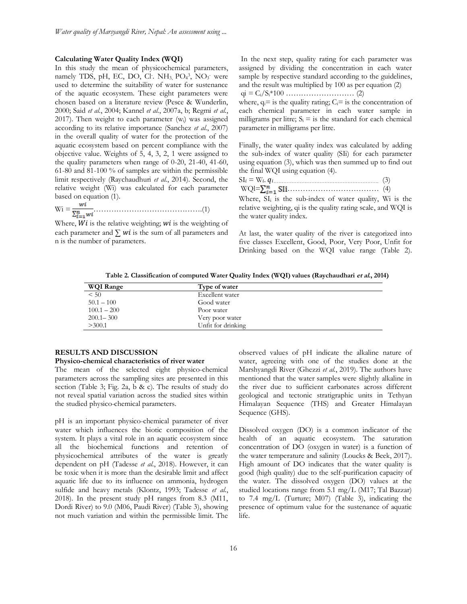#### **Calculating Water Quality Index (WQI)**

In this study the mean of physicochemical parameters, namely TDS, pH, EC, DO, Cl. NH<sub>3,</sub> PO<sub>4</sub>3, NO<sub>3</sub> were used to determine the suitability of water for sustenance of the aquatic ecosystem. These eight parameters were chosen based on a literature review (Pesce & Wunderlin, 2000; Said *et al.*, 2004; Kannel *et al.*, 2007a, b; Regmi *et al.*, 2017). Then weight to each parameter (wi) was assigned according to its relative importance (Sanchez *et al.*, 2007) in the overall quality of water for the protection of the aquatic ecosystem based on percent compliance with the objective value. Weights of 5, 4, 3, 2, 1 were assigned to the quality parameters when range of 0-20, 21-40, 41-60, 61-80 and 81-100 % of samples are within the permissible limit respectively (Raychaudhuri *et al.*, 2014). Second, the relative weight (Wi) was calculated for each parameter based on equation (1).

Wi = …………………………………….(1)

Where,  $Wi$  is the relative weighting;  $wi$  is the weighting of each parameter and  $\sum$  *wi* is the sum of all parameters and n is the number of parameters.

In the next step, quality rating for each parameter was assigned by dividing the concentration in each water sample by respective standard according to the guidelines, and the result was multiplied by 100 as per equation (2)

qi = Ci/Si\*100 ……………………… (2)

where,  $q_i = i$  is the quality rating;  $C_i = i$  is the concentration of each chemical parameter in each water sample in milligrams per litre;  $S_i$  = is the standard for each chemical parameter in milligrams per litre.

Finally, the water quality index was calculated by adding the sub-index of water quality (SIi) for each parameter using equation (3), which was then summed up to find out the final WQI using equation (4).

| $\text{WQ1} = \sum_{i=1}^{n} \text{SI1} \dots \dots \dots \dots \dots \dots \dots \dots \dots \dots \dots \tag{4}$ |  |
|--------------------------------------------------------------------------------------------------------------------|--|

Where,  $SI_i$  is the sub-index of water quality, Wi is the relative weighting, qi is the quality rating scale, and WQI is the water quality index.

At last, the water quality of the river is categorized into five classes Excellent, Good, Poor, Very Poor, Unfit for Drinking based on the WQI value range (Table 2).

**Table 2. Classification of computed Water Quality Index (WQI) values (Raychaudhari et al., 2014)**

| <b>WQI Range</b> | Type of water      |
|------------------|--------------------|
| < 50             | Excellent water    |
| $50.1 - 100$     | Good water         |
| $100.1 - 200$    | Poor water         |
| $200.1 - 300$    | Very poor water    |
| >300.1           | Unfit for drinking |

## **RESULTS AND DISCUSSION**

#### **Physico-chemical characteristics of river water**

The mean of the selected eight physico-chemical parameters across the sampling sites are presented in this section (Table 3; Fig. 2a, b & c). The results of study do not reveal spatial variation across the studied sites within the studied physico-chemical parameters.

pH is an important physico-chemical parameter of river water which influences the biotic composition of the system. It plays a vital role in an aquatic ecosystem since all the biochemical functions and retention of physicochemical attributes of the water is greatly dependent on pH (Tadesse *et al.*, 2018). However, it can be toxic when it is more than the desirable limit and affect aquatic life due to its influence on ammonia, hydrogen sulfide and heavy metals (Klontz, 1993; Tadesse *et al.*, 2018). In the present study pH ranges from 8.3 (M11, Dordi River) to 9.0 (M06, Paudi River) (Table 3), showing not much variation and within the permissible limit. The observed values of pH indicate the alkaline nature of water, agreeing with one of the studies done at the Marshyangdi River (Ghezzi *et al.*, 2019). The authors have mentioned that the water samples were slightly alkaline in the river due to sufficient carbonates across different geological and tectonic stratigraphic units in Tethyan Himalayan Sequence (THS) and Greater Himalayan Sequence (GHS).

Dissolved oxygen (DO) is a common indicator of the health of an aquatic ecosystem. The saturation concentration of DO (oxygen in water) is a function of the water temperature and salinity (Loucks & Beek, 2017). High amount of DO indicates that the water quality is good (high quality) due to the self-purification capacity of the water. The dissolved oxygen (DO) values at the studied locations range from 5.1 mg/L (M17; Tal Bazzar) to 7.4 mg/L (Turture; M07) (Table 3), indicating the presence of optimum value for the sustenance of aquatic life.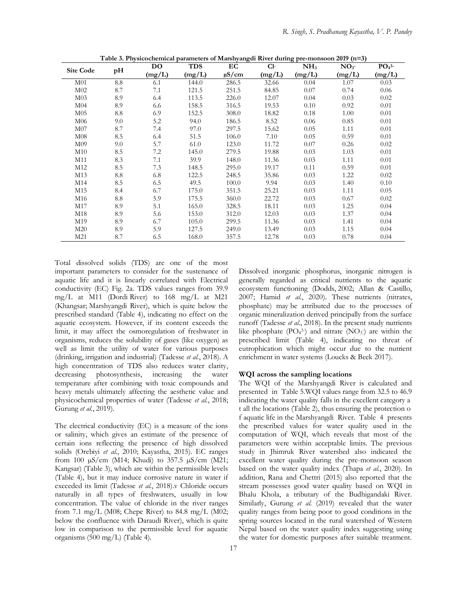|                  |     | <b>DO</b> | <b>TDS</b><br>$Cl-$<br>EC |            | NH <sub>3</sub> | NO <sub>3</sub> | $PO43-$ |        |
|------------------|-----|-----------|---------------------------|------------|-----------------|-----------------|---------|--------|
| <b>Site Code</b> | pH  | (mg/L)    | (mg/L)                    | $\mu$ S/cm | (mg/L)          | (mg/L)          | (mg/L)  | (mg/L) |
| M <sub>01</sub>  | 8.8 | 6.1       | 144.0                     | 286.5      | 32.66           | 0.04            | 1.07    | 0.03   |
| M <sub>02</sub>  | 8.7 | 7.1       | 121.5                     | 251.5      | 84.85           | 0.07            | 0.74    | 0.06   |
| M <sub>03</sub>  | 8.9 | 6.4       | 113.5                     | 226.0      | 12.07           | 0.04            | 0.03    | 0.02   |
| M <sub>04</sub>  | 8.9 | 6.6       | 158.5                     | 316.5      | 19.53           | 0.10            | 0.92    | 0.01   |
| M <sub>05</sub>  | 8.8 | 6.9       | 152.5                     | 308.0      | 18.82           | 0.18            | 1.00    | 0.01   |
| M06              | 9.0 | 5.2       | 94.0                      | 186.5      | 8.52            | 0.06            | 0.85    | 0.01   |
| M07              | 8.7 | 7.4       | 97.0                      | 297.5      | 15.62           | 0.05            | 1.11    | 0.01   |
| M08              | 8.5 | 6.4       | 51.5                      | 106.0      | 7.10            | 0.05            | 0.59    | 0.01   |
| M <sub>09</sub>  | 9.0 | 5.7       | 61.0                      | 123.0      | 11.72           | 0.07            | 0.26    | 0.02   |
| M10              | 8.5 | 7.2       | 145.0                     | 279.5      | 19.88           | 0.03            | 1.03    | 0.01   |
| M11              | 8.3 | 7.1       | 39.9                      | 148.0      | 11.36           | 0.03            | 1.11    | 0.01   |
| M12              | 8.5 | 7.3       | 148.5                     | 295.0      | 19.17           | 0.11            | 0.59    | 0.01   |
| M13              | 8.8 | 6.8       | 122.5                     | 248.5      | 35.86           | 0.03            | 1.22    | 0.02   |
| M14              | 8.5 | 6.5       | 49.5                      | 100.0      | 9.94            | 0.03            | 1.40    | 0.10   |
| M15              | 8.4 | 6.7       | 175.0                     | 351.5      | 25.21           | 0.03            | 1.11    | 0.05   |
| M16              | 8.8 | 5.9       | 175.5                     | 360.0      | 22.72           | 0.03            | 0.67    | 0.02   |
| M17              | 8.9 | 5.1       | 165.0                     | 328.5      | 18.11           | 0.03            | 1.25    | 0.04   |
| M18              | 8.9 | 5.6       | 153.0                     | 312.0      | 12.03           | 0.03            | 1.37    | 0.04   |
| M19              | 8.9 | 6.7       | 105.0                     | 299.5      | 11.36           | 0.03            | 1.41    | 0.04   |
| M20              | 8.9 | 5.9       | 127.5                     | 249.0      | 13.49           | 0.03            | 1.15    | 0.04   |
| M21              | 8.7 | 6.5       | 168.0                     | 357.5      | 12.78           | 0.03            | 0.78    | 0.04   |

**Table 3. Physicochemical parameters of Marshyangdi River during pre-monsoon 2019 (n=3)**

Total dissolved solids (TDS) are one of the most important parameters to consider for the sustenance of aquatic life and it is linearly correlated with Electrical conductivity (EC) Fig. 2a. TDS values ranges from 39.9 mg/L at M11 (Dordi River) to 168 mg/L at M21 (Khangsar; Marshyangdi River), which is quite below the prescribed standard (Table 4), indicating no effect on the aquatic ecosystem. However, if its content exceeds the limit, it may affect the osmoregulation of freshwater in organisms, reduces the solubility of gases (like oxygen) as well as limit the utility of water for various purposes (drinking, irrigation and industrial) (Tadesse *et al.*, 2018). A high concentration of TDS also reduces water clarity, decreasing photosynthesis, increasing the water temperature after combining with toxic compounds and heavy metals ultimately affecting the aesthetic value and physicochemical properties of water (Tadesse *et al.*, 2018; Gurung *et al.*, 2019).

The electrical conductivity (EC) is a measure of the ions or salinity, which gives an estimate of the presence of certain ions reflecting the presence of high dissolved solids (Orebiyi *et al.*, 2010; Kayastha, 2015). EC ranges from 100 µS/cm (M14; Khudi) to 357.5 µS/cm (M21; Kangsar) (Table 3), which are within the permissible levels (Table 4), but it may induce corrosive nature in water if exceeded its limit (Tadesse *et al.*, 2018).v Chloride occurs naturally in all types of freshwaters, usually in low concentration. The value of chloride in the river ranges from 7.1 mg/L (M08; Chepe River) to 84.8 mg/L (M02; below the confluence with Daraudi River), which is quite low in comparison to the permissible level for aquatic organisms (500 mg/L) (Table 4).

Dissolved inorganic phosphorus, inorganic nitrogen is generally regarded as critical nutrients to the aquatic ecosystem functioning (Dodds, 2002; Allan & Castillo, 2007; Hamid *et al.*, 2020). These nutrients (nitrates, phosphate) may be attributed due to the processes of organic mineralization derived principally from the surface runoff (Tadesse *et al.*, 2018). In the present study nutrients like phosphate  $(PO<sub>4</sub><sup>3</sup>)$  and nitrate  $(NO<sub>3</sub>)$  are within the prescribed limit (Table 4), indicating no threat of eutrophication which might occur due to the nutrient enrichment in water systems (Loucks & Beek 2017).

#### **WQI across the sampling locations**

The WQI of the Marshyangdi River is calculated and presented in Table 5.WQI values range from 32.5 to 46.9 indicating the water quality falls in the excellent category a t all the locations (Table 2), thus ensuring the protection o f aquatic life in the Marshyangdi River. Table 4 presents the prescribed values for water quality used in the computation of WQI, which reveals that most of the parameters were within acceptable limits. The previous study in Jhimruk River watershed also indicated the excellent water quality during the pre-monsoon season based on the water quality index (Thapa *et al.*, 2020). In addition, Rana and Chettri (2015) also reported that the stream possesses good water quality based on WQI in Bhalu Khola, a tributary of the Budhigandaki River. Similarly, Gurung *et al.* (2019) revealed that the water quality ranges from being poor to good conditions in the spring sources located in the rural watershed of Western Nepal based on the water quality index suggesting using the water for domestic purposes after suitable treatment.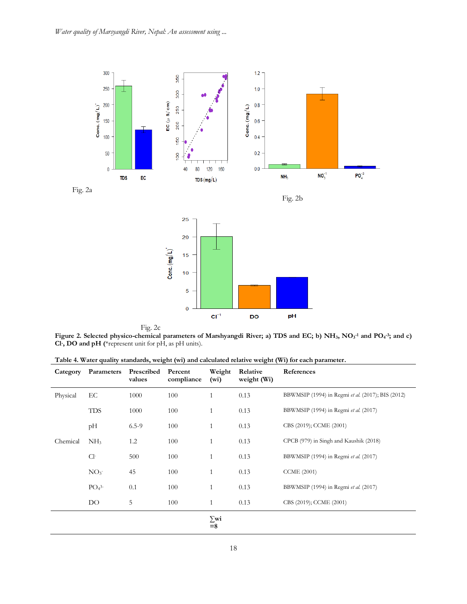





Fig. 2c

**Figure 2. Selected physico-chemical parameters of Marshyangdi River; a) TDS and EC; b) NH3, NO<sup>3</sup> -1 and PO<sup>4</sup> -3; and c) Cl- , DO and pH (**\*represent unit for pH, as pH units).

| Table 4. Water quality standards, weight (wi) and calculated relative weight (Wi) for each parameter. |  |  |
|-------------------------------------------------------------------------------------------------------|--|--|
|                                                                                                       |  |  |

| Category | Parameters      | Prescribed<br>values | Percent<br>compliance | Weight<br>(wi)     | Relative<br>weight (Wi) | References                                        |
|----------|-----------------|----------------------|-----------------------|--------------------|-------------------------|---------------------------------------------------|
| Physical | EC              | 1000                 | 100                   | 1                  | 0.13                    | BBWMSIP (1994) in Regmi et al. (2017); BIS (2012) |
|          | <b>TDS</b>      | 1000                 | 100                   | 1                  | 0.13                    | BBWMSIP (1994) in Regmi et al. (2017)             |
|          | pН              | $6.5 - 9$            | 100                   | 1                  | 0.13                    | CBS (2019); CCME (2001)                           |
| Chemical | NH <sub>3</sub> | 1.2                  | 100                   | 1                  | 0.13                    | CPCB (979) in Singh and Kaushik (2018)            |
|          | $Cl-$           | 500                  | 100                   | $\mathbf{1}$       | 0.13                    | BBWMSIP (1994) in Regmi et al. (2017)             |
|          | NO <sub>3</sub> | 45                   | 100                   | 1                  | 0.13                    | <b>CCME</b> (2001)                                |
|          | $PO43-$         | 0.1                  | 100                   | 1                  | 0.13                    | BBWMSIP (1994) in Regmi et al. (2017)             |
|          | DO.             | 5                    | 100                   | 1                  | 0.13                    | CBS (2019); CCME (2001)                           |
|          |                 |                      |                       | $\sum$ wi<br>$= 8$ |                         |                                                   |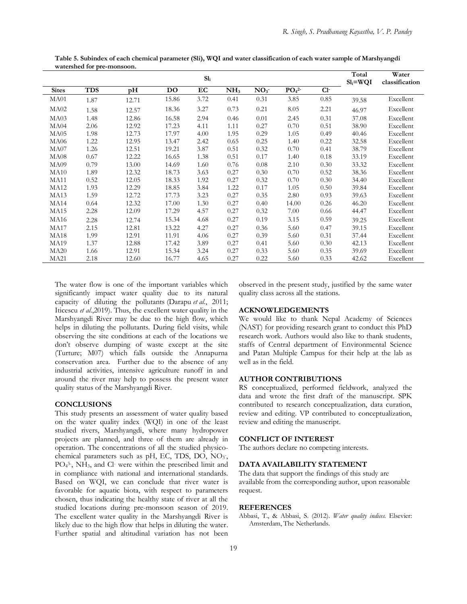|              |            |       |       | Sl <sub>i</sub> |                 |                 |                              |       | Total<br>$SI_i = WQI$ | Water<br>classification |
|--------------|------------|-------|-------|-----------------|-----------------|-----------------|------------------------------|-------|-----------------------|-------------------------|
| <b>Sites</b> | <b>TDS</b> | pН    | DO    | EC              | NH <sub>3</sub> | NO <sub>3</sub> | PO <sub>4</sub> <sup>2</sup> | $Cl-$ |                       |                         |
| MA01         | 1.87       | 12.71 | 15.86 | 3.72            | 0.41            | 0.31            | 3.85                         | 0.85  | 39.58                 | Excellent               |
| MA02         | 1.58       | 12.57 | 18.36 | 3.27            | 0.73            | 0.21            | 8.05                         | 2.21  | 46.97                 | Excellent               |
| MA03         | 1.48       | 12.86 | 16.58 | 2.94            | 0.46            | 0.01            | 2.45                         | 0.31  | 37.08                 | Excellent               |
| MA04         | 2.06       | 12.92 | 17.23 | 4.11            | 1.11            | 0.27            | 0.70                         | 0.51  | 38.90                 | Excellent               |
| MA05         | 1.98       | 12.73 | 17.97 | 4.00            | 1.95            | 0.29            | 1.05                         | 0.49  | 40.46                 | Excellent               |
| MA06         | 1.22       | 12.95 | 13.47 | 2.42            | 0.65            | 0.25            | 1.40                         | 0.22  | 32.58                 | Excellent               |
| MA07         | 1.26       | 12.51 | 19.21 | 3.87            | 0.51            | 0.32            | 0.70                         | 0.41  | 38.79                 | Excellent               |
| MA08         | 0.67       | 12.22 | 16.65 | 1.38            | 0.51            | 0.17            | 1.40                         | 0.18  | 33.19                 | Excellent               |
| MA09         | 0.79       | 13.00 | 14.69 | 1.60            | 0.76            | 0.08            | 2.10                         | 0.30  | 33.32                 | Excellent               |
| MA10         | 1.89       | 12.32 | 18.73 | 3.63            | 0.27            | 0.30            | 0.70                         | 0.52  | 38.36                 | Excellent               |
| <b>MA11</b>  | 0.52       | 12.05 | 18.33 | 1.92            | 0.27            | 0.32            | 0.70                         | 0.30  | 34.40                 | Excellent               |
| MA12         | 1.93       | 12.29 | 18.85 | 3.84            | 1.22            | 0.17            | 1.05                         | 0.50  | 39.84                 | Excellent               |
| MA13         | 1.59       | 12.72 | 17.73 | 3.23            | 0.27            | 0.35            | 2.80                         | 0.93  | 39.63                 | Excellent               |
| MA14         | 0.64       | 12.32 | 17.00 | 1.30            | 0.27            | 0.40            | 14.00                        | 0.26  | 46.20                 | Excellent               |
| MA15         | 2.28       | 12.09 | 17.29 | 4.57            | 0.27            | 0.32            | 7.00                         | 0.66  | 44.47                 | Excellent               |
| MA16         | 2.28       | 12.74 | 15.34 | 4.68            | 0.27            | 0.19            | 3.15                         | 0.59  | 39.25                 | Excellent               |
| MA17         | 2.15       | 12.81 | 13.22 | 4.27            | 0.27            | 0.36            | 5.60                         | 0.47  | 39.15                 | Excellent               |
| MA18         | 1.99       | 12.91 | 11.91 | 4.06            | 0.27            | 0.39            | 5.60                         | 0.31  | 37.44                 | Excellent               |
| MA19         | 1.37       | 12.88 | 17.42 | 3.89            | 0.27            | 0.41            | 5.60                         | 0.30  | 42.13                 | Excellent               |
| MA20         | 1.66       | 12.91 | 15.34 | 3.24            | 0.27            | 0.33            | 5.60                         | 0.35  | 39.69                 | Excellent               |
| <b>MA21</b>  | 2.18       | 12.60 | 16.77 | 4.65            | 0.27            | 0.22            | 5.60                         | 0.33  | 42.62                 | Excellent               |

**Table 5. Subindex of each chemical parameter (Sli), WQI and water classification of each water sample of Marshyangdi watershed for pre-monsoon.**

The water flow is one of the important variables which significantly impact water quality due to its natural capacity of diluting the pollutants (Darapu *et al.*, 2011; Iticescu *et al.*,2019). Thus, the excellent water quality in the Marshyangdi River may be due to the high flow, which helps in diluting the pollutants. During field visits, while observing the site conditions at each of the locations we don't observe dumping of waste except at the site (Turture; M07) which falls outside the Annapurna conservation area. Further due to the absence of any industrial activities, intensive agriculture runoff in and around the river may help to possess the present water quality status of the Marshyangdi River.

#### **CONCLUSIONS**

This study presents an assessment of water quality based on the water quality index (WQI) in one of the least studied rivers, Marshyangdi, where many hydropower projects are planned, and three of them are already in operation. The concentrations of all the studied physicochemical parameters such as pH, EC, TDS, DO, NO<sub>3</sub>, PO<sub>4</sub><sup>3</sup>, NH<sub>3</sub>, and Cl were within the prescribed limit and in compliance with national and international standards. Based on WQI, we can conclude that river water is favorable for aquatic biota, with respect to parameters chosen, thus indicating the healthy state of river at all the studied locations during pre-monsoon season of 2019. The excellent water quality in the Marshyangdi River is likely due to the high flow that helps in diluting the water. Further spatial and altitudinal variation has not been

observed in the present study, justified by the same water quality class across all the stations.

# **ACKNOWLEDGEMENTS**

We would like to thank Nepal Academy of Sciences (NAST) for providing research grant to conduct this PhD research work. Authors would also like to thank students, staffs of Central department of Environmental Science and Patan Multiple Campus for their help at the lab as well as in the field.

## **AUTHOR CONTRIBUTIONS**

RS conceptualized, performed fieldwork, analyzed the data and wrote the first draft of the manuscript. SPK contributed to research conceptualization, data curation, review and editing. VP contributed to conceptualization, review and editing the manuscript.

#### **CONFLICT OF INTEREST**

The authors declare no competing interests.

# **DATA AVAILABILITY STATEMENT**

The data that support the findings of this study are available from the corresponding author, upon reasonable request.

#### **REFERENCES**

Abbasi, T., & Abbasi, S. (2012). *Water quality indices.* Elsevier: Amsterdam, The Netherlands.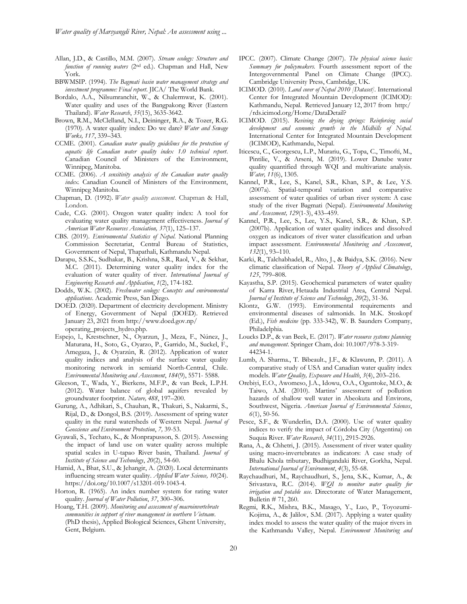- Allan, J.D., & Castillo, M.M. (2007). *Stream ecology: Structure and function of running waters* (2nd ed.). Chapman and Hall, New York.
- BBWMSIP. (1994). *The Bagmati basin water management strategy and investment programme: Final report*. JICA/ The World Bank.
- Bordalo, A.A., Nilsumranchit, W., & Chalermwat, K. (2001). Water quality and uses of the Bangpakong River (Eastern Thailand). *Water Research*, *35*(15), 3635-3642.
- Brown, R.M., McClelland, N.I., Deininger, R.A., & Tozer, R.G. (1970). A water quality index: Do we dare? *Water and Sewage Works, 117*, 339–343.
- CCME. (2001). *Canadian water quality guidelines for the protection of aquatic life Canadian water quality index 1.0 technical report*. Canadian Council of Ministers of the Environment, Winnipeg, Manitoba.
- CCME. (2006). *A sensitivity analysis of the Canadian water quality index.* Canadian Council of Ministers of the Environment, Winnipeg Manitoba.
- Chapman, D. (1992). *Water quality assessment*. Chapman & Hall, London.
- Cude, C.G. (2001). Oregon water quality index: A tool for evaluating water quality management effectiveness. *Journal of American Water Resources Association, 37*(1), 125–137.
- CBS. (2019). *Environmental Statistics of Nepal*. National Planning Commission Secretariat, Central Bureau of Statistics, Government of Nepal, Thapathali, Kathmandu Nepal.
- Darapu, S.S.K., Sudhakar, B., Krishna, S.R., Raol, V., & Sekhar, M.C. (2011). Determining water quality index for the evaluation of water quality of river. *International Journal of Engineering Research and Application*, *1*(2), 174-182.
- Dodds, W.K. (2002). *Freshwater ecology: Concepts and environmental applications*. Academic Press, San Diego.
- DOED. (2020). Department of electricity development. Ministry of Energy, Government of Nepal (DOED). Retrieved January 23, 2021 from http://www.doed.gov.np/ operating\_projects\_hydro.php.
- Espejo, l., Krestschner, N., Oyarzun, J., Meza, F., Núnez, J., Maturana, H., Soto, G., Oyarzo, P., Garrido, M., Suckel, F., Amegaza, J., & Oyarzún, R. (2012). Application of water quality indices and analysis of the surface water quality monitoring network in semiarid North-Central, Chile. *Environmental Monitoring and Assessment*, *184*(9), 5571- 5588.
- Gleeson, T., Wada, Y., Bierkens, M.F.P., & van Beek, L.P.H. (2012). Water balance of global aquifers revealed by groundwater footprint. *Nature, 488*, 197–200.
- Gurung, A., Adhikari, S., Chauhan, R., Thakuri, S., Nakarmi, S., Rijal, D., & Dongol, B.S. (2019). Assessment of spring water quality in the rural watersheds of Western Nepal. *Journal of Geoscience and Environment Protection*, *7,* 39-53.
- Gyawali, S., Techato, K., & Monprapusson, S. (2015). Assessing the impact of land use on water quality across multiple spatial scales in U-tapao River basin, Thailand. *Journal of Institute of Science and Technology*, *20*(2), 54-60.
- Hamid, A., Bhat, S.U., & Jehangir, A. (2020). Local determinants influencing stream water quality. *Applied Water Science, 10*(24). https://doi.org/10.1007/s13201-019-1043-4.
- Horton, R. (1965). An index number system for rating water quality. *Journal of Water Pollution*, *37*, 300–306.
- Hoang, T.H. (2009). *Monitoring and assessment of macroinvertebrate communities in support of river management in northern Vietnam*. (PhD thesis), Applied Biological Sciences, Ghent University, Gent, Belgium.
- IPCC. (2007). Climate Change (2007). *The physical science basis: Summary for policymakers.* Fourth assessment report of the Intergovernmental Panel on Climate Change (IPCC). Cambridge University Press, Cambridge, UK.
- ICIMOD. (2010). *Land cover of Nepal 2010 [Dataset]*. International Center for Integrated Mountain Development (ICIMOD): Kathmandu, Nepal. Retrieved January 12, 2017 from http:/ /rds.icimod.org/Home/DataDetail?
- ICIMOD. (2015). *Reviving the drying springs: Reinforcing social development and economic growth in the Midhills of Nepal.*  International Center for Integrated Mountain Development (ICIMOD), Kathmandu, Nepal.
- Iticescu, C., Georgescu, L.P., Murariu, G., Topa, C., Timofti, M., Pintilie, V., & Arseni, M. (2019). Lower Danube water quality quantified through WQI and multivariate analysis. *Water, 11*(6), 1305.
- Kannel, P.R., Lee, S., Kanel, S.R., Khan, S.P., & Lee, Y.S. (2007a). Spatial-temporal variation and comparative assessment of water qualities of urban river system: A case study of the river Bagmati (Nepal). *Environmental Monitoring and Assessment, 129*(1-3), 433–459.
- Kannel, P.R., Lee, S., Lee, Y.S., Kanel, S.R., & Khan, S.P. (2007b). Application of water quality indices and dissolved oxygen as indicators of river water classification and urban impact assessment. *Environmental Monitoring and Assessment*, *132*(1), 93–110.
- Karki, R., Talchabhadel, R., Alto, J., & Baidya, S.K. (2016). New climatic classification of Nepal. *Theory of Applied Climatology*, *125*, 799–808.
- Kayastha, S.P. (2015). Geochemical parameters of water quality of Karra River, Hetauda Industrial Area, Central Nepal. *Journal of Institute of Science and Technology*, *20*(2), 31-36.
- Klontz, G.W. (1993). Environmental requirements and environmental diseases of salmonids. In M.K. Stoskopf (Ed.), *Fish medicine* (pp. 333-342), W. B. Saunders Company, Philadelphia.
- Loucks D.P., & van Beek, E. (2017). *Water resource systems planning and management*. Springer Cham, doi: 10.1007/978-3-319- 44234-1.
- Lumb, A. Sharma., T. Bibeault., J.F., & Klawunn, P. (2011). A comparative study of USA and Canadian water quality index models*. Water Quality, Exposure and Health*, *3*(4), 203–216.
- Orebiyi, E.O., Awomeso, J.A., Idowu, O.A., Oguntoke, M.O., & Taiwo, A.M. (2010). Martins' assessment of pollution hazards of shallow well water in Abeokuta and Environs, Southwest, Nigeria. *American Journal of Environmental Sciences*, *6*(1), 50-56.
- Pesce, S.F., & Wunderlin, D.A. (2000). Use of water quality indices to verify the impact of Córdoba City (Argentina) on Suquı́a River. *Water Research*, *34*(11), 2915-2926.
- Rana, A., & Chhetri, J. (2015). Assessment of river water quality using macro-invertebrates as indicators: A case study of Bhalu Khola tributary, Budhigandaki River, Gorkha, Nepal. *International Journal of Environment*, *4*(3), 55-68.
- Raychaudhuri, M., Raychaudhuri, S., Jena, S.K., Kumar, A., & Srivastava, R.C. (2014). *WQI to monitor water quality for irrigation and potable use*. Directorate of Water Management, Bulletin # 71, 260.
- Regmi, R.K., Mishra, B.K., Masago, Y., Luo, P., Toyozumi-Kojima, A., & Jalilov, S.M. (2017). Applying a water quality index model to assess the water quality of the major rivers in the Kathmandu Valley, Nepal. *Environment Monitoring and*